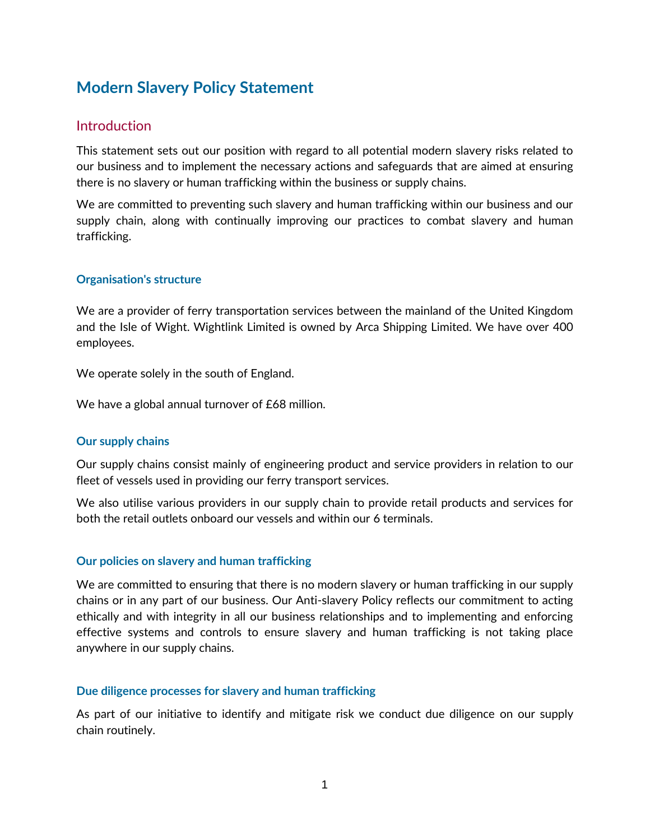# **Modern Slavery Policy Statement**

# **Introduction**

This statement sets out our position with regard to all potential modern slavery risks related to our business and to implement the necessary actions and safeguards that are aimed at ensuring there is no slavery or human trafficking within the business or supply chains.

We are committed to preventing such slavery and human trafficking within our business and our supply chain, along with continually improving our practices to combat slavery and human trafficking.

## **Organisation's structure**

We are a provider of ferry transportation services between the mainland of the United Kingdom and the Isle of Wight. Wightlink Limited is owned by Arca Shipping Limited. We have over 400 employees.

We operate solely in the south of England.

We have a global annual turnover of £68 million.

#### **Our supply chains**

Our supply chains consist mainly of engineering product and service providers in relation to our fleet of vessels used in providing our ferry transport services.

We also utilise various providers in our supply chain to provide retail products and services for both the retail outlets onboard our vessels and within our 6 terminals.

#### **Our policies on slavery and human trafficking**

We are committed to ensuring that there is no modern slavery or human trafficking in our supply chains or in any part of our business. Our Anti-slavery Policy reflects our commitment to acting ethically and with integrity in all our business relationships and to implementing and enforcing effective systems and controls to ensure slavery and human trafficking is not taking place anywhere in our supply chains.

#### **Due diligence processes for slavery and human trafficking**

As part of our initiative to identify and mitigate risk we conduct due diligence on our supply chain routinely.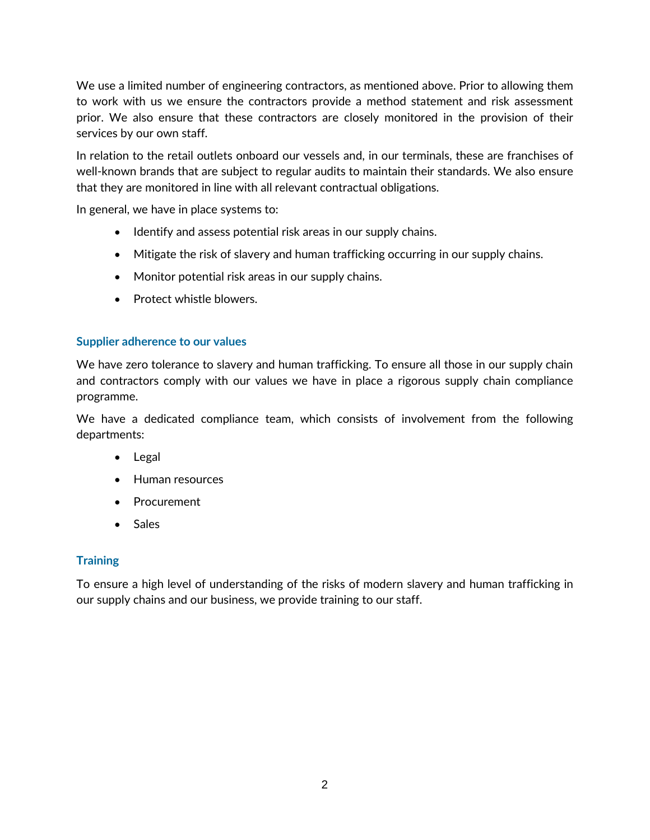We use a limited number of engineering contractors, as mentioned above. Prior to allowing them to work with us we ensure the contractors provide a method statement and risk assessment prior. We also ensure that these contractors are closely monitored in the provision of their services by our own staff.

In relation to the retail outlets onboard our vessels and, in our terminals, these are franchises of well-known brands that are subject to regular audits to maintain their standards. We also ensure that they are monitored in line with all relevant contractual obligations.

In general, we have in place systems to:

- Identify and assess potential risk areas in our supply chains.
- Mitigate the risk of slavery and human trafficking occurring in our supply chains.
- Monitor potential risk areas in our supply chains.
- Protect whistle blowers.

## **Supplier adherence to our values**

We have zero tolerance to slavery and human trafficking. To ensure all those in our supply chain and contractors comply with our values we have in place a rigorous supply chain compliance programme.

We have a dedicated compliance team, which consists of involvement from the following departments:

- Legal
- Human resources
- Procurement
- Sales

# **Training**

To ensure a high level of understanding of the risks of modern slavery and human trafficking in our supply chains and our business, we provide training to our staff.